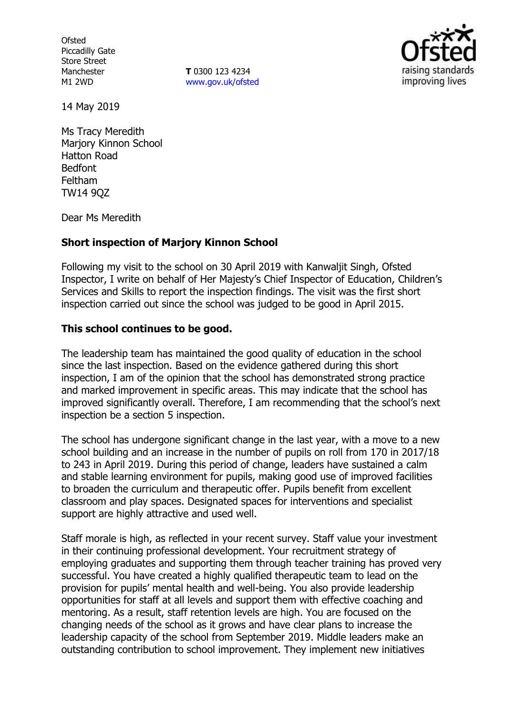**Ofsted** Piccadilly Gate Store Street Manchester M1 2WD

**T** 0300 123 4234 www.gov.uk/ofsted



14 May 2019

Ms Tracy Meredith Marjory Kinnon School Hatton Road Bedfont Feltham TW14 9QZ

Dear Ms Meredith

### **Short inspection of Marjory Kinnon School**

Following my visit to the school on 30 April 2019 with Kanwaljit Singh, Ofsted Inspector, I write on behalf of Her Majesty's Chief Inspector of Education, Children's Services and Skills to report the inspection findings. The visit was the first short inspection carried out since the school was judged to be good in April 2015.

### **This school continues to be good.**

The leadership team has maintained the good quality of education in the school since the last inspection. Based on the evidence gathered during this short inspection, I am of the opinion that the school has demonstrated strong practice and marked improvement in specific areas. This may indicate that the school has improved significantly overall. Therefore, I am recommending that the school's next inspection be a section 5 inspection.

The school has undergone significant change in the last year, with a move to a new school building and an increase in the number of pupils on roll from 170 in 2017/18 to 243 in April 2019. During this period of change, leaders have sustained a calm and stable learning environment for pupils, making good use of improved facilities to broaden the curriculum and therapeutic offer. Pupils benefit from excellent classroom and play spaces. Designated spaces for interventions and specialist support are highly attractive and used well.

Staff morale is high, as reflected in your recent survey. Staff value your investment in their continuing professional development. Your recruitment strategy of employing graduates and supporting them through teacher training has proved very successful. You have created a highly qualified therapeutic team to lead on the provision for pupils' mental health and well-being. You also provide leadership opportunities for staff at all levels and support them with effective coaching and mentoring. As a result, staff retention levels are high. You are focused on the changing needs of the school as it grows and have clear plans to increase the leadership capacity of the school from September 2019. Middle leaders make an outstanding contribution to school improvement. They implement new initiatives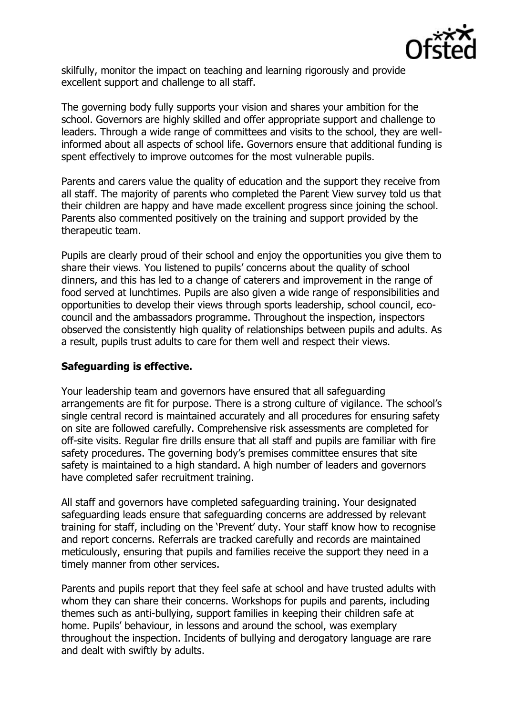

skilfully, monitor the impact on teaching and learning rigorously and provide excellent support and challenge to all staff.

The governing body fully supports your vision and shares your ambition for the school. Governors are highly skilled and offer appropriate support and challenge to leaders. Through a wide range of committees and visits to the school, they are wellinformed about all aspects of school life. Governors ensure that additional funding is spent effectively to improve outcomes for the most vulnerable pupils.

Parents and carers value the quality of education and the support they receive from all staff. The majority of parents who completed the Parent View survey told us that their children are happy and have made excellent progress since joining the school. Parents also commented positively on the training and support provided by the therapeutic team.

Pupils are clearly proud of their school and enjoy the opportunities you give them to share their views. You listened to pupils' concerns about the quality of school dinners, and this has led to a change of caterers and improvement in the range of food served at lunchtimes. Pupils are also given a wide range of responsibilities and opportunities to develop their views through sports leadership, school council, ecocouncil and the ambassadors programme. Throughout the inspection, inspectors observed the consistently high quality of relationships between pupils and adults. As a result, pupils trust adults to care for them well and respect their views.

### **Safeguarding is effective.**

Your leadership team and governors have ensured that all safeguarding arrangements are fit for purpose. There is a strong culture of vigilance. The school's single central record is maintained accurately and all procedures for ensuring safety on site are followed carefully. Comprehensive risk assessments are completed for off-site visits. Regular fire drills ensure that all staff and pupils are familiar with fire safety procedures. The governing body's premises committee ensures that site safety is maintained to a high standard. A high number of leaders and governors have completed safer recruitment training.

All staff and governors have completed safeguarding training. Your designated safeguarding leads ensure that safeguarding concerns are addressed by relevant training for staff, including on the 'Prevent' duty. Your staff know how to recognise and report concerns. Referrals are tracked carefully and records are maintained meticulously, ensuring that pupils and families receive the support they need in a timely manner from other services.

Parents and pupils report that they feel safe at school and have trusted adults with whom they can share their concerns. Workshops for pupils and parents, including themes such as anti-bullying, support families in keeping their children safe at home. Pupils' behaviour, in lessons and around the school, was exemplary throughout the inspection. Incidents of bullying and derogatory language are rare and dealt with swiftly by adults.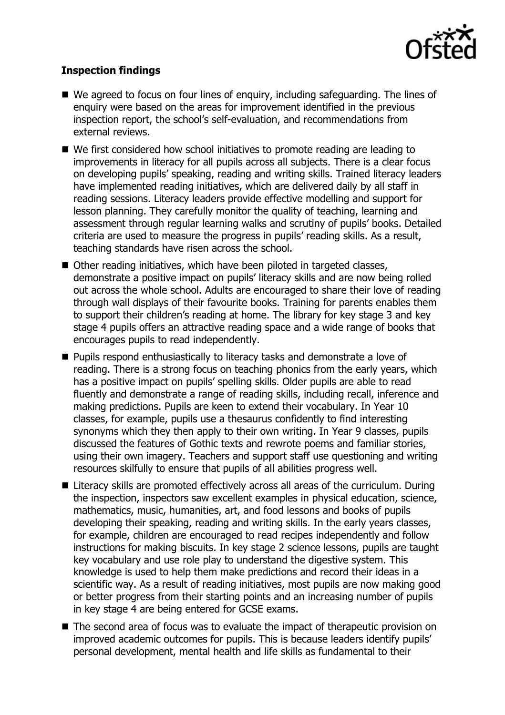

# **Inspection findings**

- We agreed to focus on four lines of enguiry, including safeguarding. The lines of enquiry were based on the areas for improvement identified in the previous inspection report, the school's self-evaluation, and recommendations from external reviews.
- We first considered how school initiatives to promote reading are leading to improvements in literacy for all pupils across all subjects. There is a clear focus on developing pupils' speaking, reading and writing skills. Trained literacy leaders have implemented reading initiatives, which are delivered daily by all staff in reading sessions. Literacy leaders provide effective modelling and support for lesson planning. They carefully monitor the quality of teaching, learning and assessment through regular learning walks and scrutiny of pupils' books. Detailed criteria are used to measure the progress in pupils' reading skills. As a result, teaching standards have risen across the school.
- Other reading initiatives, which have been piloted in targeted classes, demonstrate a positive impact on pupils' literacy skills and are now being rolled out across the whole school. Adults are encouraged to share their love of reading through wall displays of their favourite books. Training for parents enables them to support their children's reading at home. The library for key stage 3 and key stage 4 pupils offers an attractive reading space and a wide range of books that encourages pupils to read independently.
- **Pupils respond enthusiastically to literacy tasks and demonstrate a love of** reading. There is a strong focus on teaching phonics from the early years, which has a positive impact on pupils' spelling skills. Older pupils are able to read fluently and demonstrate a range of reading skills, including recall, inference and making predictions. Pupils are keen to extend their vocabulary. In Year 10 classes, for example, pupils use a thesaurus confidently to find interesting synonyms which they then apply to their own writing. In Year 9 classes, pupils discussed the features of Gothic texts and rewrote poems and familiar stories, using their own imagery. Teachers and support staff use questioning and writing resources skilfully to ensure that pupils of all abilities progress well.
- Literacy skills are promoted effectively across all areas of the curriculum. During the inspection, inspectors saw excellent examples in physical education, science, mathematics, music, humanities, art, and food lessons and books of pupils developing their speaking, reading and writing skills. In the early years classes, for example, children are encouraged to read recipes independently and follow instructions for making biscuits. In key stage 2 science lessons, pupils are taught key vocabulary and use role play to understand the digestive system. This knowledge is used to help them make predictions and record their ideas in a scientific way. As a result of reading initiatives, most pupils are now making good or better progress from their starting points and an increasing number of pupils in key stage 4 are being entered for GCSE exams.
- The second area of focus was to evaluate the impact of therapeutic provision on improved academic outcomes for pupils. This is because leaders identify pupils' personal development, mental health and life skills as fundamental to their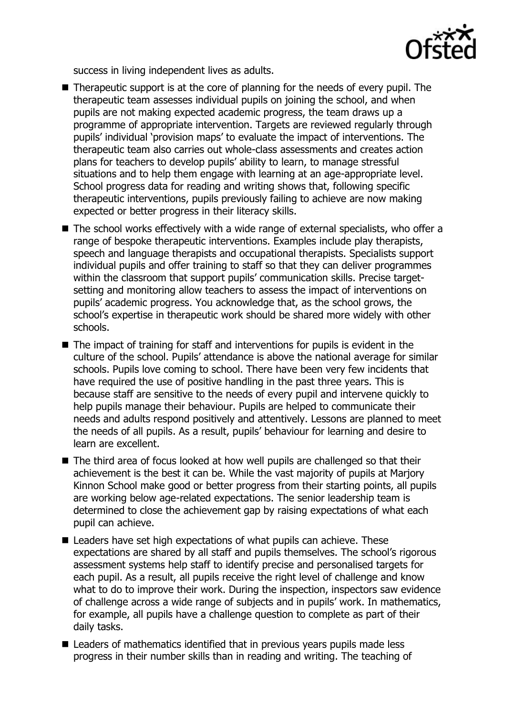

success in living independent lives as adults.

- Therapeutic support is at the core of planning for the needs of every pupil. The therapeutic team assesses individual pupils on joining the school, and when pupils are not making expected academic progress, the team draws up a programme of appropriate intervention. Targets are reviewed regularly through pupils' individual 'provision maps' to evaluate the impact of interventions. The therapeutic team also carries out whole-class assessments and creates action plans for teachers to develop pupils' ability to learn, to manage stressful situations and to help them engage with learning at an age-appropriate level. School progress data for reading and writing shows that, following specific therapeutic interventions, pupils previously failing to achieve are now making expected or better progress in their literacy skills.
- The school works effectively with a wide range of external specialists, who offer a range of bespoke therapeutic interventions. Examples include play therapists, speech and language therapists and occupational therapists. Specialists support individual pupils and offer training to staff so that they can deliver programmes within the classroom that support pupils' communication skills. Precise targetsetting and monitoring allow teachers to assess the impact of interventions on pupils' academic progress. You acknowledge that, as the school grows, the school's expertise in therapeutic work should be shared more widely with other schools.
- $\blacksquare$  The impact of training for staff and interventions for pupils is evident in the culture of the school. Pupils' attendance is above the national average for similar schools. Pupils love coming to school. There have been very few incidents that have required the use of positive handling in the past three years. This is because staff are sensitive to the needs of every pupil and intervene quickly to help pupils manage their behaviour. Pupils are helped to communicate their needs and adults respond positively and attentively. Lessons are planned to meet the needs of all pupils. As a result, pupils' behaviour for learning and desire to learn are excellent.
- The third area of focus looked at how well pupils are challenged so that their achievement is the best it can be. While the vast majority of pupils at Marjory Kinnon School make good or better progress from their starting points, all pupils are working below age-related expectations. The senior leadership team is determined to close the achievement gap by raising expectations of what each pupil can achieve.
- Leaders have set high expectations of what pupils can achieve. These expectations are shared by all staff and pupils themselves. The school's rigorous assessment systems help staff to identify precise and personalised targets for each pupil. As a result, all pupils receive the right level of challenge and know what to do to improve their work. During the inspection, inspectors saw evidence of challenge across a wide range of subjects and in pupils' work. In mathematics, for example, all pupils have a challenge question to complete as part of their daily tasks.
- Leaders of mathematics identified that in previous years pupils made less progress in their number skills than in reading and writing. The teaching of